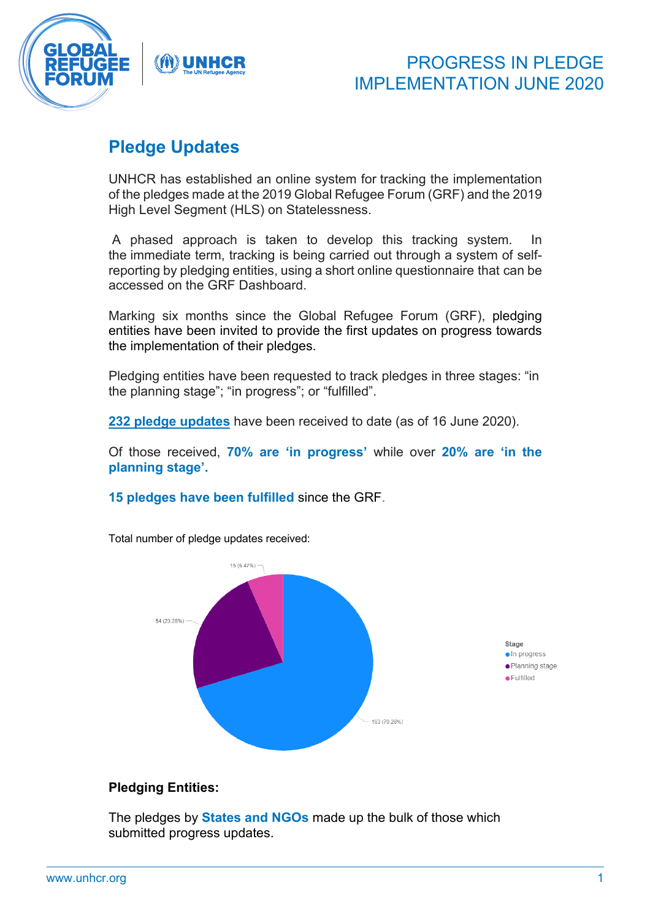

# PROGRESS IN PLEDGE IMPLEMENTATION JUNE 2020

# **Pledge Updates**

UNHCR has established an online system for tracking the implementation of the pledges made at the 2019 Global Refugee Forum (GRF) and the 2019 High Level Segment (HLS) on Statelessness.

A phased approach is taken to develop this tracking system. In the immediate term, tracking is being carried out through a system of selfreporting by pledging entities, using a short online questionnaire that can be accessed on the GRF Dashboard.

Marking six months since the Global Refugee Forum (GRF), pledging entities have been invited to provide the first updates on progress towards the implementation of their pledges.

Pledging entities have been requested to track pledges in three stages: "in the planning stage"; "in progress"; or "fulfilled".

**232 pledge updates** have been received to date (as of 16 June 2020).

Of those received, **70% are 'in progress'** while over **20% are 'in the planning stage'.**

**15 pledges have been fulfilled** since the GRF.



Total number of pledge updates received:

### **Pledging Entities:**

The pledges by **States and NGOs** made up the bulk of those which submitted progress updates.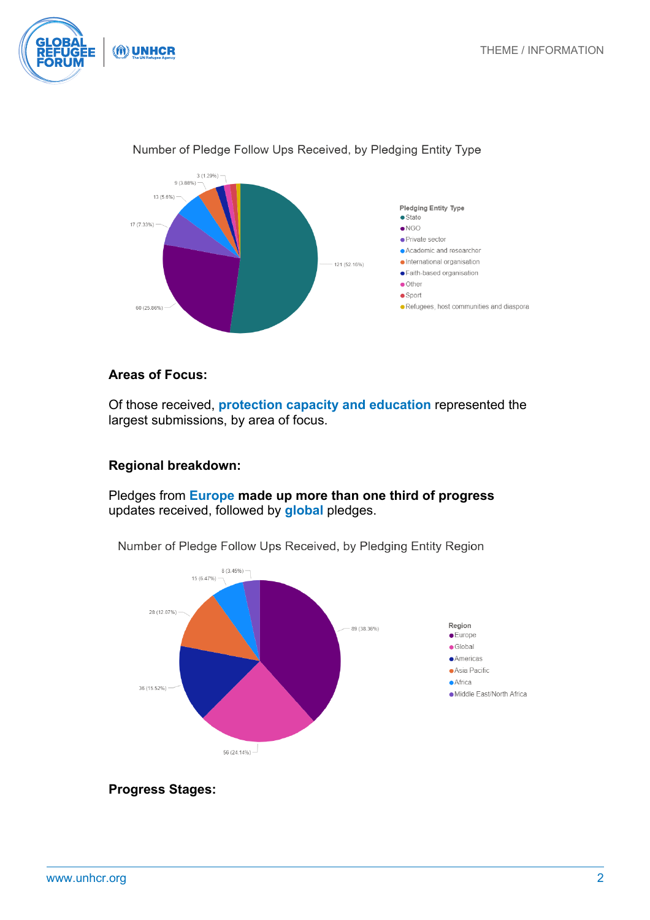



### Number of Pledge Follow Ups Received, by Pledging Entity Type

## **Areas of Focus:**

Of those received, **protection capacity and education** represented the largest submissions, by area of focus.

### **Regional breakdown:**

Pledges from **Europe made up more than one third of progress**  updates received, followed by **global** pledges.



Number of Pledge Follow Ups Received, by Pledging Entity Region

**Progress Stages:**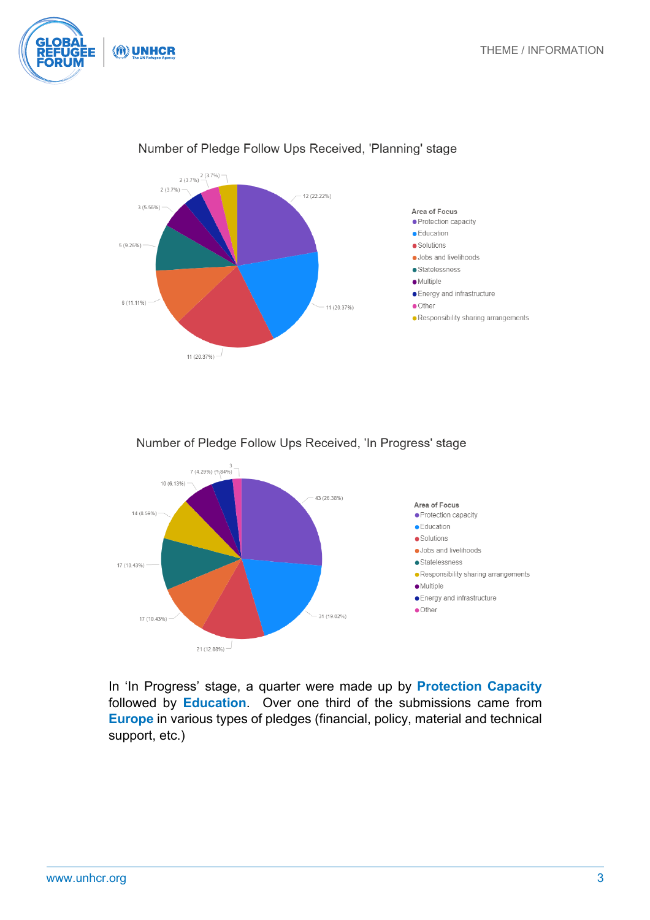(M) UNHCR



## Number of Pledge Follow Ups Received, 'Planning' stage

Number of Pledge Follow Ups Received, 'In Progress' stage



In 'In Progress' stage, a quarter were made up by **Protection Capacity** followed by **Education**. Over one third of the submissions came from **Europe** in various types of pledges (financial, policy, material and technical support, etc.)